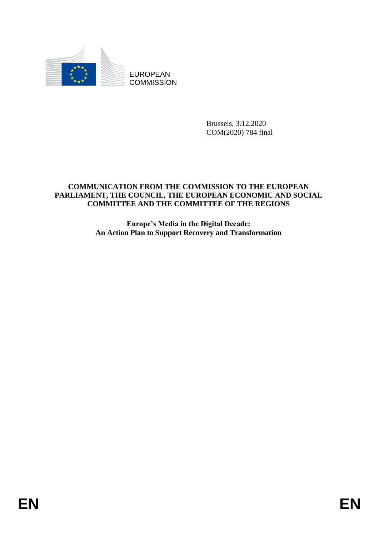

EUROPEAN **COMMISSION** 

> Brussels, 3.12.2020 COM(2020) 784 final

# **COMMUNICATION FROM THE COMMISSION TO THE EUROPEAN PARLIAMENT, THE COUNCIL, THE EUROPEAN ECONOMIC AND SOCIAL COMMITTEE AND THE COMMITTEE OF THE REGIONS**

**Europe's Media in the Digital Decade: An Action Plan to Support Recovery and Transformation**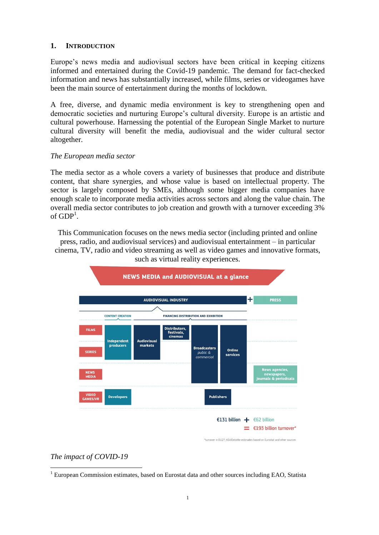#### **1. INTRODUCTION**

Europe's news media and audiovisual sectors have been critical in keeping citizens informed and entertained during the Covid-19 pandemic. The demand for fact-checked information and news has substantially increased, while films, series or videogames have been the main source of entertainment during the months of lockdown.

A free, diverse, and dynamic media environment is key to strengthening open and democratic societies and nurturing Europe's cultural diversity. Europe is an artistic and cultural powerhouse. Harnessing the potential of the European Single Market to nurture cultural diversity will benefit the media, audiovisual and the wider cultural sector altogether.

### *The European media sector*

The media sector as a whole covers a variety of businesses that produce and distribute content, that share synergies, and whose value is based on intellectual property. The sector is largely composed by SMEs, although some bigger media companies have enough scale to incorporate media activities across sectors and along the value chain. The overall media sector contributes to job creation and growth with a turnover exceeding 3% of  $GDP<sup>1</sup>$ .

This Communication focuses on the news media sector (including printed and online press, radio, and audiovisual services) and audiovisual entertainment – in particular cinema, TV, radio and video streaming as well as video games and innovative formats, such as virtual reality experiences.



## *The impact of COVID-19*

 $\overline{a}$ <sup>1</sup> European Commission estimates, based on Eurostat data and other sources including EAO, Statista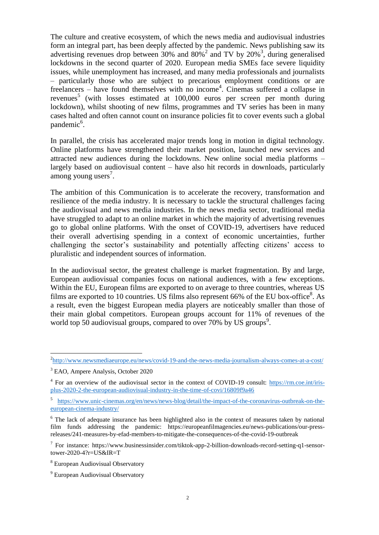The culture and creative ecosystem, of which the news media and audiovisual industries form an integral part, has been deeply affected by the pandemic. News publishing saw its advertising revenues drop between  $30\%$  and  $80\%$ <sup>2</sup> and TV by  $20\%$ <sup>3</sup>, during generalised lockdowns in the second quarter of 2020. European media SMEs face severe liquidity issues, while unemployment has increased, and many media professionals and journalists – particularly those who are subject to precarious employment conditions or are freelancers – have found themselves with no income<sup>4</sup>. Cinemas suffered a collapse in revenues<sup>5</sup> (with losses estimated at 100,000 euros per screen per month during lockdown), whilst shooting of new films, programmes and TV series has been in many cases halted and often cannot count on insurance policies fit to cover events such a global pandemic<sup>6</sup>.

In parallel, the crisis has accelerated major trends long in motion in digital technology. Online platforms have strengthened their market position, launched new services and attracted new audiences during the lockdowns. New online social media platforms – largely based on audiovisual content – have also hit records in downloads, particularly  $\frac{1}{2}$  among young users<sup>7</sup>.

The ambition of this Communication is to accelerate the recovery, transformation and resilience of the media industry. It is necessary to tackle the structural challenges facing the audiovisual and news media industries. In the news media sector, traditional media have struggled to adapt to an online market in which the majority of advertising revenues go to global online platforms. With the onset of COVID-19, advertisers have reduced their overall advertising spending in a context of economic uncertainties, further challenging the sector's sustainability and potentially affecting citizens' access to pluralistic and independent sources of information.

In the audiovisual sector, the greatest challenge is market fragmentation. By and large, European audiovisual companies focus on national audiences, with a few exceptions. Within the EU, European films are exported to on average to three countries, whereas US films are exported to 10 countries. US films also represent 66% of the EU box-office<sup>8</sup>. As a result, even the biggest European media players are noticeably smaller than those of their main global competitors. European groups account for 11% of revenues of the world top 50 audiovisual groups, compared to over 70% by US groups<sup>9</sup>.

 2 <http://www.newsmediaeurope.eu/news/covid-19-and-the-news-media-journalism-always-comes-at-a-cost/>

<sup>3</sup> EAO, Ampere Analysis, October 2020

 $4$  For an overview of the audiovisual sector in the context of COVID-19 consult: [https://rm.coe.int/iris](https://rm.coe.int/iris-plus-2020-2-the-european-audiovisual-industry-in-the-time-of-covi/16809f9a46)[plus-2020-2-the-european-audiovisual-industry-in-the-time-of-covi/16809f9a46](https://rm.coe.int/iris-plus-2020-2-the-european-audiovisual-industry-in-the-time-of-covi/16809f9a46)

<sup>5</sup> [https://www.unic-cinemas.org/en/news/news-blog/detail/the-impact-of-the-coronavirus-outbreak-on-the](https://www.unic-cinemas.org/en/news/news-blog/detail/the-impact-of-the-coronavirus-outbreak-on-the-european-cinema-industry/)[european-cinema-industry/](https://www.unic-cinemas.org/en/news/news-blog/detail/the-impact-of-the-coronavirus-outbreak-on-the-european-cinema-industry/)

<sup>&</sup>lt;sup>6</sup> The lack of adequate insurance has been highlighted also in the context of measures taken by national film funds addressing the pandemic: https://europeanfilmagencies.eu/news-publications/our-pressreleases/241-measures-by-efad-members-to-mitigate-the-consequences-of-the-covid-19-outbreak

<sup>&</sup>lt;sup>7</sup> For instance: https://www.businessinsider.com/tiktok-app-2-billion-downloads-record-setting-q1-sensortower-2020-4?r=US&IR=T

<sup>&</sup>lt;sup>8</sup> European Audiovisual Observatory

<sup>&</sup>lt;sup>9</sup> European Audiovisual Observatory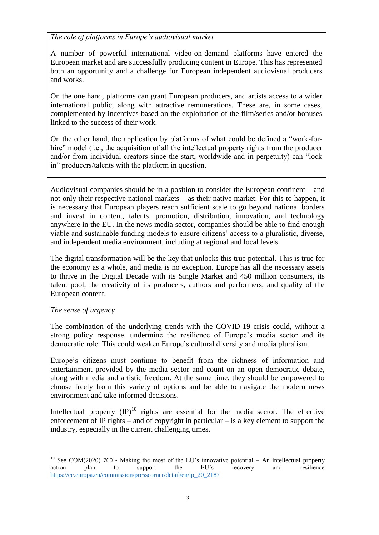*The role of platforms in Europe's audiovisual market* 

A number of powerful international video-on-demand platforms have entered the European market and are successfully producing content in Europe. This has represented both an opportunity and a challenge for European independent audiovisual producers and works.

On the one hand, platforms can grant European producers, and artists access to a wider international public, along with attractive remunerations. These are, in some cases, complemented by incentives based on the exploitation of the film/series and/or bonuses linked to the success of their work.

On the other hand, the application by platforms of what could be defined a "work-forhire" model (i.e., the acquisition of all the intellectual property rights from the producer and/or from individual creators since the start, worldwide and in perpetuity) can "lock in" producers/talents with the platform in question.

Audiovisual companies should be in a position to consider the European continent – and not only their respective national markets – as their native market. For this to happen, it is necessary that European players reach sufficient scale to go beyond national borders and invest in content, talents, promotion, distribution, innovation, and technology anywhere in the EU. In the news media sector, companies should be able to find enough viable and sustainable funding models to ensure citizens' access to a pluralistic, diverse, and independent media environment, including at regional and local levels.

The digital transformation will be the key that unlocks this true potential. This is true for the economy as a whole, and media is no exception. Europe has all the necessary assets to thrive in the Digital Decade with its Single Market and 450 million consumers, its talent pool, the creativity of its producers, authors and performers, and quality of the European content.

## *The sense of urgency*

The combination of the underlying trends with the COVID-19 crisis could, without a strong policy response, undermine the resilience of Europe's media sector and its democratic role. This could weaken Europe's cultural diversity and media pluralism.

Europe's citizens must continue to benefit from the richness of information and entertainment provided by the media sector and count on an open democratic debate, along with media and artistic freedom. At the same time, they should be empowered to choose freely from this variety of options and be able to navigate the modern news environment and take informed decisions.

Intellectual property  $(IP)^{10}$  rights are essential for the media sector. The effective enforcement of IP rights – and of copyright in particular – is a key element to support the industry, especially in the current challenging times.

 $\overline{a}$ <sup>10</sup> See COM(2020) 760 - Making the most of the EU's innovative potential – An intellectual property action plan to support the EU's recovery and resilience [https://ec.europa.eu/commission/presscorner/detail/en/ip\\_20\\_2187](https://ec.europa.eu/commission/presscorner/detail/en/ip_20_2187)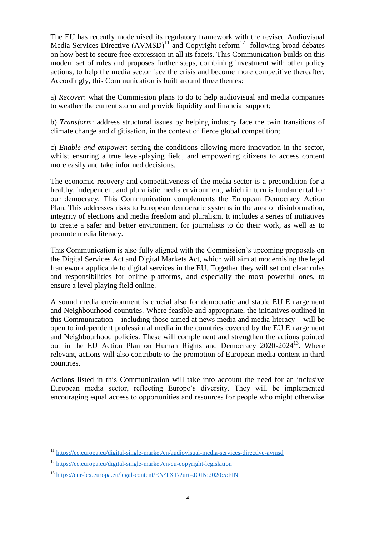The EU has recently modernised its regulatory framework with the revised Audiovisual Media Services Directive  $(AVMSD)^{11}$  and Copyright reform<sup>12</sup> following broad debates on how best to secure free expression in all its facets. This Communication builds on this modern set of rules and proposes further steps, combining investment with other policy actions, to help the media sector face the crisis and become more competitive thereafter. Accordingly, this Communication is built around three themes:

a) *Recover*: what the Commission plans to do to help audiovisual and media companies to weather the current storm and provide liquidity and financial support;

b) *Transform*: address structural issues by helping industry face the twin transitions of climate change and digitisation, in the context of fierce global competition;

c) *Enable and empower*: setting the conditions allowing more innovation in the sector, whilst ensuring a true level-playing field, and empowering citizens to access content more easily and take informed decisions.

The economic recovery and competitiveness of the media sector is a precondition for a healthy, independent and pluralistic media environment, which in turn is fundamental for our democracy. This Communication complements the European Democracy Action Plan. This addresses risks to European democratic systems in the area of disinformation, integrity of elections and media freedom and pluralism. It includes a series of initiatives to create a safer and better environment for journalists to do their work, as well as to promote media literacy.

This Communication is also fully aligned with the Commission's upcoming proposals on the Digital Services Act and Digital Markets Act, which will aim at modernising the legal framework applicable to digital services in the EU. Together they will set out clear rules and responsibilities for online platforms, and especially the most powerful ones, to ensure a level playing field online.

A sound media environment is crucial also for democratic and stable EU Enlargement and Neighbourhood countries. Where feasible and appropriate, the initiatives outlined in this Communication – including those aimed at news media and media literacy – will be open to independent professional media in the countries covered by the EU Enlargement and Neighbourhood policies. These will complement and strengthen the actions pointed out in the EU Action Plan on Human Rights and Democracy 2020-2024<sup>13</sup>. Where relevant, actions will also contribute to the promotion of European media content in third countries.

Actions listed in this Communication will take into account the need for an inclusive European media sector, reflecting Europe's diversity. They will be implemented encouraging equal access to opportunities and resources for people who might otherwise

<sup>&</sup>lt;sup>11</sup> <https://ec.europa.eu/digital-single-market/en/audiovisual-media-services-directive-avmsd>

<sup>12</sup> <https://ec.europa.eu/digital-single-market/en/eu-copyright-legislation>

<sup>13</sup> <https://eur-lex.europa.eu/legal-content/EN/TXT/?uri=JOIN:2020:5:FIN>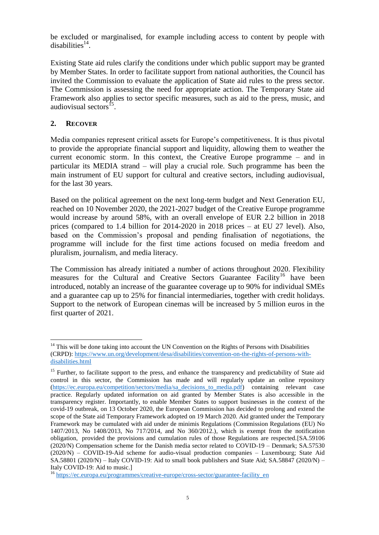be excluded or marginalised, for example including access to content by people with  $disabilities<sup>14</sup>$ .

Existing State aid rules clarify the conditions under which public support may be granted by Member States. In order to facilitate support from national authorities, the Council has invited the Commission to evaluate the application of State aid rules to the press sector. The Commission is assessing the need for appropriate action. The Temporary State aid Framework also applies to sector specific measures, such as aid to the press, music, and audiovisual sectors<sup>15</sup>.

## **2. RECOVER**

 $\overline{a}$ 

Media companies represent critical assets for Europe's competitiveness. It is thus pivotal to provide the appropriate financial support and liquidity, allowing them to weather the current economic storm. In this context, the Creative Europe programme – and in particular its MEDIA strand – will play a crucial role. Such programme has been the main instrument of EU support for cultural and creative sectors, including audiovisual, for the last 30 years.

Based on the political agreement on the next long-term budget and Next Generation EU, reached on 10 November 2020, the 2021-2027 budget of the Creative Europe programme would increase by around 58%, with an overall envelope of EUR 2.2 billion in 2018 prices (compared to 1.4 billion for 2014-2020 in 2018 prices – at EU 27 level). Also, based on the Commission's proposal and pending finalisation of negotiations, the programme will include for the first time actions focused on media freedom and pluralism, journalism, and media literacy.

The Commission has already initiated a number of actions throughout 2020. Flexibility measures for the Cultural and Creative Sectors Guarantee Facility<sup>16</sup> have been introduced, notably an increase of the guarantee coverage up to 90% for individual SMEs and a guarantee cap up to 25% for financial intermediaries, together with credit holidays. Support to the network of European cinemas will be increased by 5 million euros in the first quarter of 2021.

 $14$  This will be done taking into account the UN Convention on the Rights of Persons with Disabilities (CRPD): [https://www.un.org/development/desa/disabilities/convention-on-the-rights-of-persons-with](https://www.un.org/development/desa/disabilities/convention-on-the-rights-of-persons-with-disabilities.html)[disabilities.html](https://www.un.org/development/desa/disabilities/convention-on-the-rights-of-persons-with-disabilities.html)

<sup>&</sup>lt;sup>15</sup> Further, to facilitate support to the press, and enhance the transparency and predictability of State aid control in this sector, the Commission has made and will regularly update an online repository [\(https://ec.europa.eu/competition/sectors/media/sa\\_decisions\\_to\\_media.pdf\)](https://ec.europa.eu/competition/sectors/media/sa_decisions_to_media.pdf) containing relevant case practice. Regularly updated information on aid granted by Member States is also accessible in the transparency register. Importantly, to enable Member States to support businesses in the context of the covid-19 outbreak, on 13 October 2020, the European Commission has decided to prolong and extend the scope of the State aid Temporary Framework adopted on 19 March 2020. Aid granted under the Temporary Framework may be cumulated with aid under de minimis Regulations (Commission Regulations (EU) No 1407/2013, No 1408/2013, No 717/2014, and No 360/2012.), which is exempt from the notification obligation, provided the provisions and cumulation rules of those Regulations are respected.[SA.59106 (2020/N) Compensation scheme for the Danish media sector related to COVID-19 – Denmark; SA.57530 (2020/N) – COVID-19-Aid scheme for audio-visual production companies – Luxembourg; State Aid SA.58801 (2020/N) – Italy COVID-19: Aid to small book publishers and State Aid; SA.58847 (2020/N) – Italy COVID-19: Aid to music.]

<sup>&</sup>lt;sup>16</sup> [https://ec.europa.eu/programmes/creative-europe/cross-sector/guarantee-facility\\_en](https://ec.europa.eu/programmes/creative-europe/cross-sector/guarantee-facility_en)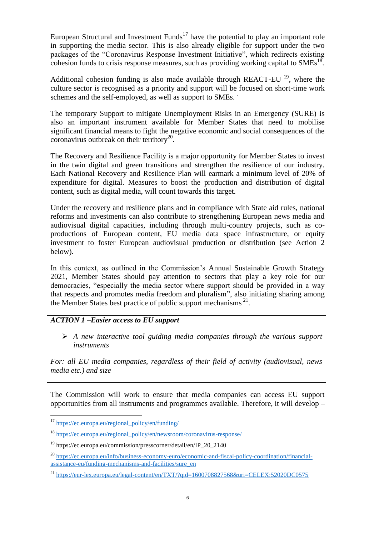European Structural and Investment Funds<sup>17</sup> have the potential to play an important role in supporting the media sector. This is also already eligible for support under the two packages of the "Coronavirus Response Investment Initiative", which redirects existing cohesion funds to crisis response measures, such as providing working capital to  $SMEs<sup>18</sup>$ .

Additional cohesion funding is also made available through REACT-EU  $^{19}$ , where the culture sector is recognised as a priority and support will be focused on short-time work schemes and the self-employed, as well as support to SMEs. .

The temporary Support to mitigate Unemployment Risks in an Emergency (SURE) is also an important instrument available for Member States that need to mobilise significant financial means to fight the negative economic and social consequences of the coronavirus outbreak on their territory<sup>20</sup>.

The Recovery and Resilience Facility is a major opportunity for Member States to invest in the twin digital and green transitions and strengthen the resilience of our industry. Each National Recovery and Resilience Plan will earmark a minimum level of 20% of expenditure for digital. Measures to boost the production and distribution of digital content, such as digital media, will count towards this target.

Under the recovery and resilience plans and in compliance with State aid rules, national reforms and investments can also contribute to strengthening European news media and audiovisual digital capacities, including through multi-country projects, such as coproductions of European content, EU media data space infrastructure, or equity investment to foster European audiovisual production or distribution (see Action 2 below).

In this context, as outlined in the Commission's Annual Sustainable Growth Strategy 2021, Member States should pay attention to sectors that play a key role for our democracies, "especially the media sector where support should be provided in a way that respects and promotes media freedom and pluralism", also initiating sharing among the Member States best practice of public support mechanisms  $21$ .

# *ACTION 1 –Easier access to EU support*

 *A new interactive tool guiding media companies through the various support instruments* 

*For: all EU media companies, regardless of their field of activity (audiovisual, news media etc.) and size* 

The Commission will work to ensure that media companies can access EU support opportunities from all instruments and programmes available. Therefore, it will develop –

 $\overline{a}$ <sup>17</sup> [https://ec.europa.eu/regional\\_policy/en/funding/](https://ec.europa.eu/regional_policy/en/funding/)

<sup>&</sup>lt;sup>18</sup> [https://ec.europa.eu/regional\\_policy/en/newsroom/coronavirus-response/](https://ec.europa.eu/regional_policy/en/newsroom/coronavirus-response/)

 $19$  https://ec.europa.eu/commission/presscorner/detail/en/IP\_20\_2140

<sup>20</sup> [https://ec.europa.eu/info/business-economy-euro/economic-and-fiscal-policy-coordination/financial](https://ec.europa.eu/info/business-economy-euro/economic-and-fiscal-policy-coordination/financial-assistance-eu/funding-mechanisms-and-facilities/sure_en)[assistance-eu/funding-mechanisms-and-facilities/sure\\_en](https://ec.europa.eu/info/business-economy-euro/economic-and-fiscal-policy-coordination/financial-assistance-eu/funding-mechanisms-and-facilities/sure_en)

<sup>&</sup>lt;sup>21</sup> <https://eur-lex.europa.eu/legal-content/en/TXT/?qid=1600708827568&uri=CELEX:52020DC0575>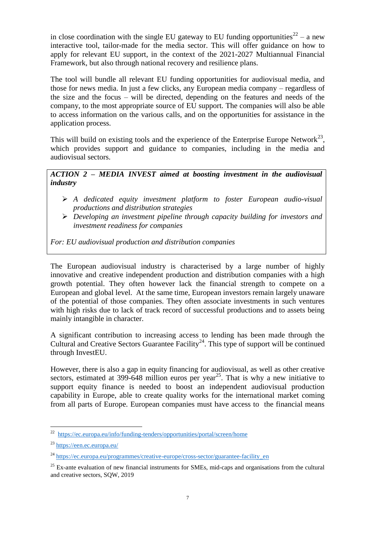in close coordination with the single EU gateway to EU funding opportunities<sup>22</sup> – a new interactive tool, tailor-made for the media sector. This will offer guidance on how to apply for relevant EU support, in the context of the 2021-2027 Multiannual Financial Framework, but also through national recovery and resilience plans.

The tool will bundle all relevant EU funding opportunities for audiovisual media, and those for news media. In just a few clicks, any European media company – regardless of the size and the focus – will be directed, depending on the features and needs of the company, to the most appropriate source of EU support. The companies will also be able to access information on the various calls, and on the opportunities for assistance in the application process.

This will build on existing tools and the experience of the Enterprise Europe Network<sup>23</sup>, which provides support and guidance to companies, including in the media and audiovisual sectors.

*ACTION 2 – MEDIA INVEST aimed at boosting investment in the audiovisual industry* 

- *A dedicated equity investment platform to foster European audio-visual productions and distribution strategies*
- *Developing an investment pipeline through capacity building for investors and investment readiness for companies*

*For: EU audiovisual production and distribution companies* 

The European audiovisual industry is characterised by a large number of highly innovative and creative independent production and distribution companies with a high growth potential. They often however lack the financial strength to compete on a European and global level. At the same time, European investors remain largely unaware of the potential of those companies. They often associate investments in such ventures with high risks due to lack of track record of successful productions and to assets being mainly intangible in character.

A significant contribution to increasing access to lending has been made through the Cultural and Creative Sectors Guarantee Facility<sup>24</sup>. This type of support will be continued through InvestEU.

However, there is also a gap in equity financing for audiovisual, as well as other creative sectors, estimated at 399-648 million euros per year<sup>25</sup>. That is why a new initiative to support equity finance is needed to boost an independent audiovisual production capability in Europe, able to create quality works for the international market coming from all parts of Europe. European companies must have access to the financial means

<sup>&</sup>lt;sup>22</sup> <https://ec.europa.eu/info/funding-tenders/opportunities/portal/screen/home>

<sup>23</sup> <https://een.ec.europa.eu/>

<sup>&</sup>lt;sup>24</sup> [https://ec.europa.eu/programmes/creative-europe/cross-sector/guarantee-facility\\_en](https://ec.europa.eu/programmes/creative-europe/cross-sector/guarantee-facility_en)

 $25$  Ex-ante evaluation of new financial instruments for SMEs, mid-caps and organisations from the cultural and creative sectors, SQW, 2019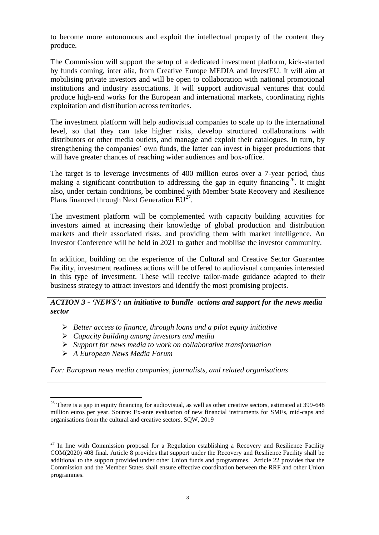to become more autonomous and exploit the intellectual property of the content they produce.

The Commission will support the setup of a dedicated investment platform, kick-started by funds coming, inter alia, from Creative Europe MEDIA and InvestEU. It will aim at mobilising private investors and will be open to collaboration with national promotional institutions and industry associations. It will support audiovisual ventures that could produce high-end works for the European and international markets, coordinating rights exploitation and distribution across territories.

The investment platform will help audiovisual companies to scale up to the international level, so that they can take higher risks, develop structured collaborations with distributors or other media outlets, and manage and exploit their catalogues. In turn, by strengthening the companies' own funds, the latter can invest in bigger productions that will have greater chances of reaching wider audiences and box-office.

The target is to leverage investments of 400 million euros over a 7-year period, thus making a significant contribution to addressing the gap in equity financing<sup>26</sup>. It might also, under certain conditions, be combined with Member State Recovery and Resilience Plans financed through Next Generation  $EU^{27}$ .

The investment platform will be complemented with capacity building activities for investors aimed at increasing their knowledge of global production and distribution markets and their associated risks, and providing them with market intelligence. An Investor Conference will be held in 2021 to gather and mobilise the investor community.

In addition, building on the experience of the Cultural and Creative Sector Guarantee Facility, investment readiness actions will be offered to audiovisual companies interested in this type of investment. These will receive tailor-made guidance adapted to their business strategy to attract investors and identify the most promising projects.

## *ACTION 3 - 'NEWS': an initiative to bundle actions and support for the news media sector*

- *Better access to finance, through loans and a pilot equity initiative*
- *Capacity building among investors and media*
- *Support for news media to work on collaborative transformation*
- *A European News Media Forum*

 $\overline{a}$ 

*For: European news media companies, journalists, and related organisations*

 $26$  There is a gap in equity financing for audiovisual, as well as other creative sectors, estimated at 399-648 million euros per year. Source: Ex-ante evaluation of new financial instruments for SMEs, mid-caps and organisations from the cultural and creative sectors, SQW, 2019

 $27$  In line with Commission proposal for a Regulation establishing a Recovery and Resilience Facility COM(2020) 408 final. Article 8 provides that support under the Recovery and Resilience Facility shall be additional to the support provided under other Union funds and programmes. Article 22 provides that the Commission and the Member States shall ensure effective coordination between the RRF and other Union programmes.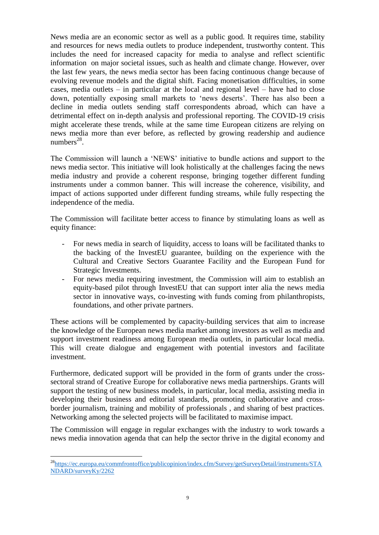News media are an economic sector as well as a public good. It requires time, stability and resources for news media outlets to produce independent, trustworthy content. This includes the need for increased capacity for media to analyse and reflect scientific information on major societal issues, such as health and climate change. However, over the last few years, the news media sector has been facing continuous change because of evolving revenue models and the digital shift. Facing monetisation difficulties, in some cases, media outlets – in particular at the local and regional level – have had to close down, potentially exposing small markets to 'news deserts'. There has also been a decline in media outlets sending staff correspondents abroad, which can have a detrimental effect on in-depth analysis and professional reporting. The COVID-19 crisis might accelerate these trends, while at the same time European citizens are relying on news media more than ever before, as reflected by growing readership and audience numbers $^{28}$ .

The Commission will launch a 'NEWS' initiative to bundle actions and support to the news media sector. This initiative will look holistically at the challenges facing the news media industry and provide a coherent response, bringing together different funding instruments under a common banner. This will increase the coherence, visibility, and impact of actions supported under different funding streams, while fully respecting the independence of the media.

The Commission will facilitate better access to finance by stimulating loans as well as equity finance:

- For news media in search of liquidity, access to loans will be facilitated thanks to the backing of the InvestEU guarantee, building on the experience with the Cultural and Creative Sectors Guarantee Facility and the European Fund for Strategic Investments.
- For news media requiring investment, the Commission will aim to establish an equity-based pilot through InvestEU that can support inter alia the news media sector in innovative ways, co-investing with funds coming from philanthropists, foundations, and other private partners.

These actions will be complemented by capacity-building services that aim to increase the knowledge of the European news media market among investors as well as media and support investment readiness among European media outlets, in particular local media. This will create dialogue and engagement with potential investors and facilitate investment.

Furthermore, dedicated support will be provided in the form of grants under the crosssectoral strand of Creative Europe for collaborative news media partnerships. Grants will support the testing of new business models, in particular, local media, assisting media in developing their business and editorial standards, promoting collaborative and crossborder journalism, training and mobility of professionals , and sharing of best practices. Networking among the selected projects will be facilitated to maximise impact.

The Commission will engage in regular exchanges with the industry to work towards a news media innovation agenda that can help the sector thrive in the digital economy and

 $\overline{a}$ <sup>28</sup>https://ec.eu<u>ropa.eu/commfrontoffice/publicopinion/index.cfm/Survey/getSurveyDetail/instruments/STA</u> [NDARD/surveyKy/2262](https://ec.europa.eu/commfrontoffice/publicopinion/index.cfm/Survey/getSurveyDetail/instruments/STANDARD/surveyKy/2262)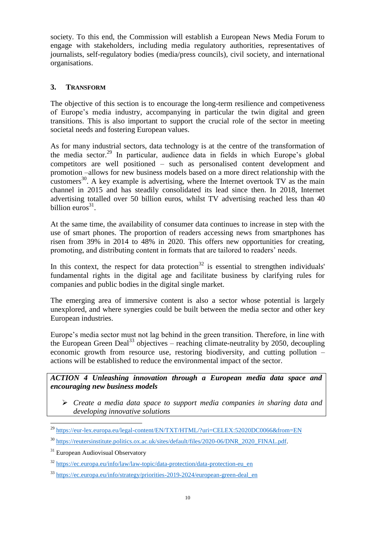society. To this end, the Commission will establish a European News Media Forum to engage with stakeholders, including media regulatory authorities, representatives of journalists, self-regulatory bodies (media/press councils), civil society, and international organisations.

# **3. TRANSFORM**

The objective of this section is to encourage the long-term resilience and competiveness of Europe's media industry, accompanying in particular the twin digital and green transitions. This is also important to support the crucial role of the sector in meeting societal needs and fostering European values.

As for many industrial sectors, data technology is at the centre of the transformation of the media sector.<sup>29</sup> In particular, audience data in fields in which Europe's global competitors are well positioned – such as personalised content development and promotion –allows for new business models based on a more direct relationship with the customers<sup>30</sup>. A key example is advertising, where the Internet overtook TV as the main channel in 2015 and has steadily consolidated its lead since then. In 2018, Internet advertising totalled over 50 billion euros, whilst TV advertising reached less than 40 billion euros $31$ .

At the same time, the availability of consumer data continues to increase in step with the use of smart phones. The proportion of readers accessing news from smartphones has risen from 39% in 2014 to 48% in 2020. This offers new opportunities for creating, promoting, and distributing content in formats that are tailored to readers' needs.

In this context, the respect for data protection<sup>32</sup> is essential to strengthen individuals' fundamental rights in the digital age and facilitate business by clarifying rules for companies and public bodies in the digital single market.

The emerging area of immersive content is also a sector whose potential is largely unexplored, and where synergies could be built between the media sector and other key European industries.

Europe's media sector must not lag behind in the green transition. Therefore, in line with the European Green Deal<sup>33</sup> objectives – reaching climate-neutrality by 2050, decoupling economic growth from resource use, restoring biodiversity, and cutting pollution – actions will be established to reduce the environmental impact of the sector.

*ACTION 4 Unleashing innovation through a European media data space and encouraging new business models* 

 *Create a media data space to support media companies in sharing data and developing innovative solutions*

<sup>&</sup>lt;sup>29</sup> <https://eur-lex.europa.eu/legal-content/EN/TXT/HTML/?uri=CELEX:52020DC0066&from=EN>

[https://reutersinstitute.politics.ox.ac.uk/sites/default/files/2020-06/DNR\\_2020\\_FINAL.pdf.](https://reutersinstitute.politics.ox.ac.uk/sites/default/files/2020-06/DNR_2020_FINAL.pdf)

<sup>&</sup>lt;sup>31</sup> European Audiovisual Observatory

<sup>32</sup> [https://ec.europa.eu/info/law/law-topic/data-protection/data-protection-eu\\_en](https://ec.europa.eu/info/law/law-topic/data-protection/data-protection-eu_en)

<sup>33</sup> [https://ec.europa.eu/info/strategy/priorities-2019-2024/european-green-deal\\_en](https://ec.europa.eu/info/strategy/priorities-2019-2024/european-green-deal_en)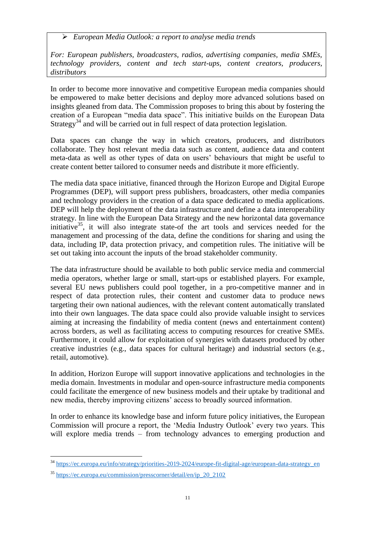*European Media Outlook: a report to analyse media trends* 

*For: European publishers, broadcasters, radios, advertising companies, media SMEs, technology providers, content and tech start-ups, content creators, producers, distributors* 

In order to become more innovative and competitive European media companies should be empowered to make better decisions and deploy more advanced solutions based on insights gleaned from data. The Commission proposes to bring this about by fostering the creation of a European "media data space". This initiative builds on the European Data Strategy<sup>34</sup> and will be carried out in full respect of data protection legislation.

Data spaces can change the way in which creators, producers, and distributors collaborate. They host relevant media data such as content, audience data and content meta-data as well as other types of data on users' behaviours that might be useful to create content better tailored to consumer needs and distribute it more efficiently.

The media data space initiative, financed through the Horizon Europe and Digital Europe Programmes (DEP), will support press publishers, broadcasters, other media companies and technology providers in the creation of a data space dedicated to media applications. DEP will help the deployment of the data infrastructure and define a data interoperability strategy. In line with the European Data Strategy and the new horizontal data governance initiative $35$ , it will also integrate state-of the art tools and services needed for the management and processing of the data, define the conditions for sharing and using the data, including IP, data protection privacy, and competition rules. The initiative will be set out taking into account the inputs of the broad stakeholder community.

The data infrastructure should be available to both public service media and commercial media operators, whether large or small, start-ups or established players. For example, several EU news publishers could pool together, in a pro-competitive manner and in respect of data protection rules, their content and customer data to produce news targeting their own national audiences, with the relevant content automatically translated into their own languages. The data space could also provide valuable insight to services aiming at increasing the findability of media content (news and entertainment content) across borders, as well as facilitating access to computing resources for creative SMEs. Furthermore, it could allow for exploitation of synergies with datasets produced by other creative industries (e.g., data spaces for cultural heritage) and industrial sectors (e.g., retail, automotive).

In addition, Horizon Europe will support innovative applications and technologies in the media domain. Investments in modular and open-source infrastructure media components could facilitate the emergence of new business models and their uptake by traditional and new media, thereby improving citizens' access to broadly sourced information.

In order to enhance its knowledge base and inform future policy initiatives, the European Commission will procure a report, the 'Media Industry Outlook' every two years. This will explore media trends – from technology advances to emerging production and

<sup>&</sup>lt;sup>34</sup> [https://ec.europa.eu/info/strategy/priorities-2019-2024/europe-fit-digital-age/european-data-strategy\\_en](https://ec.europa.eu/info/strategy/priorities-2019-2024/europe-fit-digital-age/european-data-strategy_en)

 $35$  [https://ec.europa.eu/commission/presscorner/detail/en/ip\\_20\\_2102](https://ec.europa.eu/commission/presscorner/detail/en/ip_20_2102)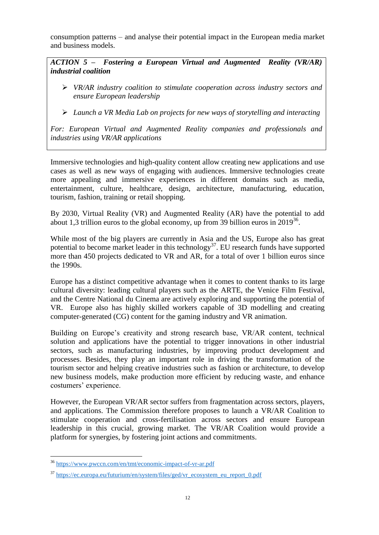consumption patterns – and analyse their potential impact in the European media market and business models.

*ACTION 5 – Fostering a European Virtual and Augmented Reality (VR/AR) industrial coalition* 

- *VR/AR industry coalition to stimulate cooperation across industry sectors and ensure European leadership*
- *Launch a VR Media Lab on projects for new ways of storytelling and interacting*

*For: European Virtual and Augmented Reality companies and professionals and industries using VR/AR applications* 

Immersive technologies and high-quality content allow creating new applications and use cases as well as new ways of engaging with audiences. Immersive technologies create more appealing and immersive experiences in different domains such as media, entertainment, culture, healthcare, design, architecture, manufacturing, education, tourism, fashion, training or retail shopping.

By 2030, Virtual Reality (VR) and Augmented Reality (AR) have the potential to add about 1,3 trillion euros to the global economy, up from 39 billion euros in  $2019^{36}$ .

While most of the big players are currently in Asia and the US, Europe also has great potential to become market leader in this technology<sup>37</sup>. EU research funds have supported more than 450 projects dedicated to VR and AR, for a total of over 1 billion euros since the 1990s.

Europe has a distinct competitive advantage when it comes to content thanks to its large cultural diversity: leading cultural players such as the ARTE, the Venice Film Festival, and the Centre National du Cinema are actively exploring and supporting the potential of VR. Europe also has highly skilled workers capable of 3D modelling and creating computer-generated (CG) content for the gaming industry and VR animation.

Building on Europe's creativity and strong research base, VR/AR content, technical solution and applications have the potential to trigger innovations in other industrial sectors, such as manufacturing industries, by improving product development and processes. Besides, they play an important role in driving the transformation of the tourism sector and helping creative industries such as fashion or architecture, to develop new business models, make production more efficient by reducing waste, and enhance costumers' experience.

However, the European VR/AR sector suffers from fragmentation across sectors, players, and applications. The Commission therefore proposes to launch a VR/AR Coalition to stimulate cooperation and cross-fertilisation across sectors and ensure European leadership in this crucial, growing market. The VR/AR Coalition would provide a platform for synergies, by fostering joint actions and commitments.

<sup>&</sup>lt;sup>36</sup> <https://www.pwccn.com/en/tmt/economic-impact-of-vr-ar.pdf>

<sup>&</sup>lt;sup>37</sup> [https://ec.europa.eu/futurium/en/system/files/ged/vr\\_ecosystem\\_eu\\_report\\_0.pdf](https://ec.europa.eu/futurium/en/system/files/ged/vr_ecosystem_eu_report_0.pdf)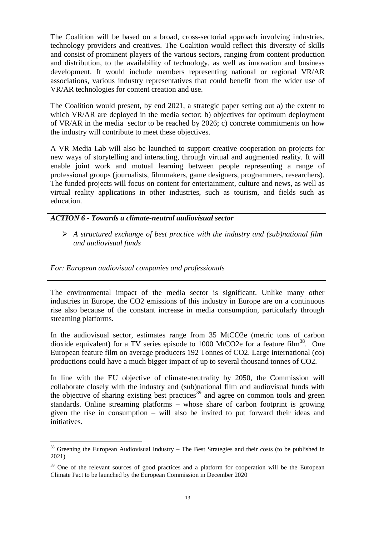The Coalition will be based on a broad, cross-sectorial approach involving industries, technology providers and creatives. The Coalition would reflect this diversity of skills and consist of prominent players of the various sectors, ranging from content production and distribution, to the availability of technology, as well as innovation and business development. It would include members representing national or regional VR/AR associations, various industry representatives that could benefit from the wider use of VR/AR technologies for content creation and use.

The Coalition would present, by end 2021, a strategic paper setting out a) the extent to which VR/AR are deployed in the media sector; b) objectives for optimum deployment of VR/AR in the media sector to be reached by 2026; c) concrete commitments on how the industry will contribute to meet these objectives.

A VR Media Lab will also be launched to support creative cooperation on projects for new ways of storytelling and interacting, through virtual and augmented reality. It will enable joint work and mutual learning between people representing a range of professional groups (journalists, filmmakers, game designers, programmers, researchers). The funded projects will focus on content for entertainment, culture and news, as well as virtual reality applications in other industries, such as tourism, and fields such as education.

### *ACTION 6 - Towards a climate-neutral audiovisual sector*

 *A structured exchange of best practice with the industry and (sub)national film and audiovisual funds*

*For: European audiovisual companies and professionals* 

 $\overline{a}$ 

The environmental impact of the media sector is significant. Unlike many other industries in Europe, the CO2 emissions of this industry in Europe are on a continuous rise also because of the constant increase in media consumption, particularly through streaming platforms.

In the audiovisual sector, estimates range from 35 MtCO2e (metric tons of carbon dioxide equivalent) for a TV series episode to 1000 MtCO2e for a feature film<sup>38</sup>. One European feature film on average producers 192 Tonnes of CO2. Large international (co) productions could have a much bigger impact of up to several thousand tonnes of CO2.

In line with the EU objective of climate-neutrality by 2050, the Commission will collaborate closely with the industry and (sub)national film and audiovisual funds with the objective of sharing existing best practices<sup>39</sup> and agree on common tools and green standards. Online streaming platforms – whose share of carbon footprint is growing given the rise in consumption – will also be invited to put forward their ideas and initiatives.

 $38$  Greening the European Audiovisual Industry – The Best Strategies and their costs (to be published in 2021)

<sup>&</sup>lt;sup>39</sup> One of the relevant sources of good practices and a platform for cooperation will be the European Climate Pact to be launched by the European Commission in December 2020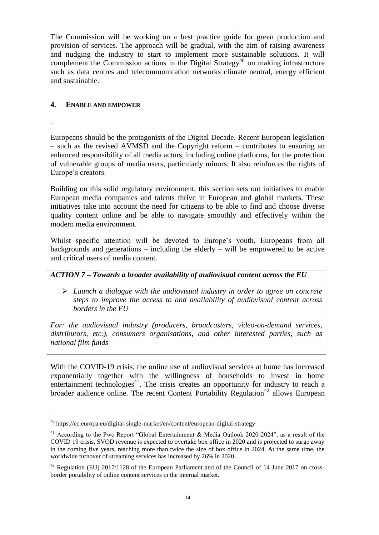The Commission will be working on a best practice guide for green production and provision of services. The approach will be gradual, with the aim of raising awareness and nudging the industry to start to implement more sustainable solutions. It will complement the Commission actions in the Digital Strategy<sup>40</sup> on making infrastructure such as data centres and telecommunication networks climate neutral, energy efficient and sustainable.

### **4. ENABLE AND EMPOWER**

.

 $\overline{a}$ 

Europeans should be the protagonists of the Digital Decade. Recent European legislation – such as the revised AVMSD and the Copyright reform – contributes to ensuring an enhanced responsibility of all media actors, including online platforms, for the protection of vulnerable groups of media users, particularly minors. It also reinforces the rights of Europe's creators.

Building on this solid regulatory environment, this section sets out initiatives to enable European media companies and talents thrive in European and global markets. These initiatives take into account the need for citizens to be able to find and choose diverse quality content online and be able to navigate smoothly and effectively within the modern media environment.

Whilst specific attention will be devoted to Europe's youth, Europeans from all backgrounds and generations  $-$  including the elderly  $-$  will be empowered to be active and critical users of media content.

## *ACTION 7 – Towards a broader availability of audiovisual content across the EU*

 *Launch a dialogue with the audiovisual industry in order to agree on concrete steps to improve the access to and availability of audiovisual content across borders in the EU*

*For: the audiovisual industry (producers, broadcasters, video-on-demand services, distributors, etc.), consumers organisations, and other interested parties, such as national film funds*

With the COVID-19 crisis, the online use of audiovisual services at home has increased exponentially together with the willingness of households to invest in home entertainment technologies<sup>41</sup>. The crisis creates an opportunity for industry to reach a broader audience online. The recent Content Portability Regulation<sup>42</sup> allows European

<sup>40</sup> https://ec.europa.eu/digital-single-market/en/content/european-digital-strategy

<sup>&</sup>lt;sup>41</sup> According to the Pwc Report "Global Entertainment  $\&$  Media Outlook 2020-2024", as a result of the COVID 19 crisis, SVOD revenue is expected to overtake box office in 2020 and is projected to surge away in the coming five years, reaching more than twice the size of box office in 2024. At the same time, the worldwide turnover of streaming services has increased by 26% in 2020.

 $42$  Regulation (EU) 2017/1128 of the European Parliament and of the Council of 14 June 2017 on crossborder portability of online content services in the internal market.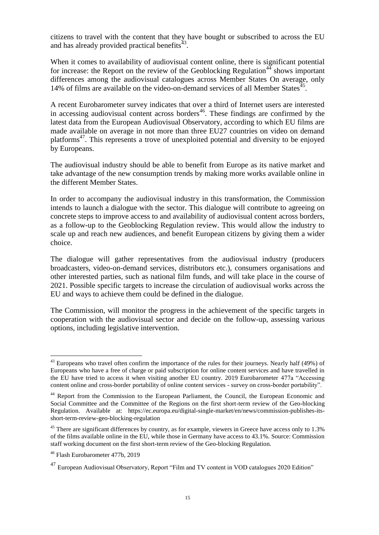citizens to travel with the content that they have bought or subscribed to across the EU and has already provided practical benefits $^{43}$ .

When it comes to availability of audiovisual content online, there is significant potential for increase: the Report on the review of the Geoblocking Regulation<sup>44</sup> shows important differences among the audiovisual catalogues across Member States On average, only 14% of films are available on the video-on-demand services of all Member States<sup>45</sup>.

A recent Eurobarometer survey indicates that over a third of Internet users are interested in accessing audiovisual content across borders<sup>46</sup>. These findings are confirmed by the latest data from the European Audiovisual Observatory, according to which EU films are made available on average in not more than three EU27 countries on video on demand platforms<sup>47</sup>. This represents a trove of unexploited potential and diversity to be enjoyed by Europeans.

The audiovisual industry should be able to benefit from Europe as its native market and take advantage of the new consumption trends by making more works available online in the different Member States.

In order to accompany the audiovisual industry in this transformation, the Commission intends to launch a dialogue with the sector. This dialogue will contribute to agreeing on concrete steps to improve access to and availability of audiovisual content across borders, as a follow-up to the Geoblocking Regulation review. This would allow the industry to scale up and reach new audiences, and benefit European citizens by giving them a wider choice.

The dialogue will gather representatives from the audiovisual industry (producers broadcasters, video-on-demand services, distributors etc.), consumers organisations and other interested parties, such as national film funds, and will take place in the course of 2021. Possible specific targets to increase the circulation of audiovisual works across the EU and ways to achieve them could be defined in the dialogue.

The Commission, will monitor the progress in the achievement of the specific targets in cooperation with the audiovisual sector and decide on the follow-up, assessing various options, including legislative intervention.

 $43$  Europeans who travel often confirm the importance of the rules for their journeys. Nearly half (49%) of Europeans who have a free of charge or paid subscription for online content services and have travelled in the EU have tried to access it when visiting another EU country. 2019 Eurobarometer 477a "Accessing content online and cross-border portability of online content services - survey on cross-border portability".

<sup>&</sup>lt;sup>44</sup> Report from the Commission to the European Parliament, the Council, the European Economic and Social Committee and the Committee of the Regions on the first short-term review of the Geo-blocking Regulation. Available at: https://ec.europa.eu/digital-single-market/en/news/commission-publishes-itsshort-term-review-geo-blocking-regulation

<sup>&</sup>lt;sup>45</sup> There are significant differences by country, as for example, viewers in Greece have access only to 1.3% of the films available online in the EU, while those in Germany have access to 43.1%. Source: Commission staff working document on the first short-term review of the Geo-blocking Regulation.

<sup>46</sup> Flash Eurobarometer 477b, 2019

 $^{47}$  European Audiovisual Observatory, Report "Film and TV content in VOD catalogues 2020 Edition"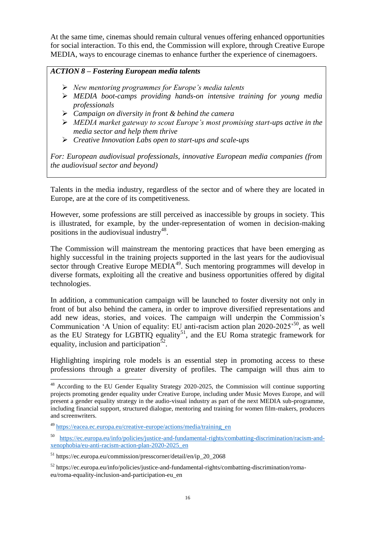At the same time, cinemas should remain cultural venues offering enhanced opportunities for social interaction. To this end, the Commission will explore, through Creative Europe MEDIA, ways to encourage cinemas to enhance further the experience of cinemagoers.

## *ACTION 8 – Fostering European media talents*

- *New mentoring programmes for Europe's media talents*
- *MEDIA boot-camps providing hands-on intensive training for young media professionals*
- *Campaign on diversity in front & behind the camera*
- *MEDIA market gateway to scout Europe's most promising start-ups active in the media sector and help them thrive*
- *Creative Innovation Labs open to start-ups and scale-ups*

*For: European audiovisual professionals, innovative European media companies (from the audiovisual sector and beyond)* 

Talents in the media industry, regardless of the sector and of where they are located in Europe, are at the core of its competitiveness.

However, some professions are still perceived as inaccessible by groups in society. This is illustrated, for example, by the under-representation of women in decision-making positions in the audiovisual industry<sup>48</sup>.

The Commission will mainstream the mentoring practices that have been emerging as highly successful in the training projects supported in the last years for the audiovisual sector through Creative Europe MEDIA<sup>49</sup>. Such mentoring programmes will develop in diverse formats, exploiting all the creative and business opportunities offered by digital technologies.

In addition, a communication campaign will be launched to foster diversity not only in front of but also behind the camera, in order to improve diversified representations and add new ideas, stories, and voices. The campaign will underpin the Commission's Communication 'A Union of equality: EU anti-racism action plan 2020-2025<sup>'50</sup>, as well as the EU Strategy for LGBTIQ equality<sup>51</sup>, and the EU Roma strategic framework for equality, inclusion and participation<sup>52</sup>.

Highlighting inspiring role models is an essential step in promoting access to these professions through a greater diversity of profiles. The campaign will thus aim to

 $48$  According to the EU Gender Equality Strategy 2020-2025, the Commission will continue supporting projects promoting gender equality under Creative Europe, including under Music Moves Europe, and will present a gender equality strategy in the audio-visual industry as part of the next MEDIA sub-programme, including financial support, structured dialogue, mentoring and training for women film-makers, producers and screenwriters.

<sup>49</sup> [https://eacea.ec.europa.eu/creative-europe/actions/media/training\\_en](https://eacea.ec.europa.eu/creative-europe/actions/media/training_en)

<sup>50</sup> [https://ec.europa.eu/info/policies/justice-and-fundamental-rights/combatting-discrimination/racism-and](https://ec.europa.eu/info/policies/justice-and-fundamental-rights/combatting-discrimination/racism-and-xenophobia/eu-anti-racism-action-plan-2020-2025_en)[xenophobia/eu-anti-racism-action-plan-2020-2025\\_en](https://ec.europa.eu/info/policies/justice-and-fundamental-rights/combatting-discrimination/racism-and-xenophobia/eu-anti-racism-action-plan-2020-2025_en)

 $51$  https://ec.europa.eu/commission/presscorner/detail/en/ip\_20\_2068

<sup>52</sup> https://ec.europa.eu/info/policies/justice-and-fundamental-rights/combatting-discrimination/romaeu/roma-equality-inclusion-and-participation-eu\_en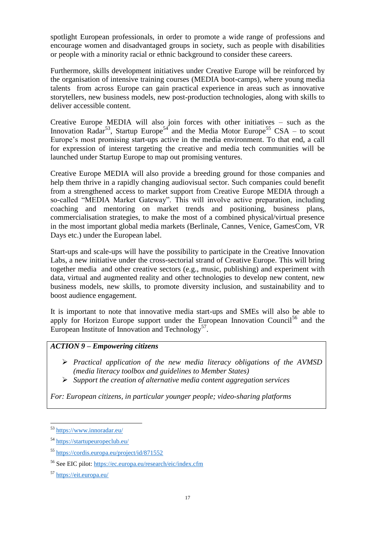spotlight European professionals, in order to promote a wide range of professions and encourage women and disadvantaged groups in society, such as people with disabilities or people with a minority racial or ethnic background to consider these careers.

Furthermore, skills development initiatives under Creative Europe will be reinforced by the organisation of intensive training courses (MEDIA boot-camps), where young media talents from across Europe can gain practical experience in areas such as innovative storytellers, new business models, new post-production technologies, along with skills to deliver accessible content.

Creative Europe MEDIA will also join forces with other initiatives – such as the Innovation Radar<sup>53</sup>, Startup Europe<sup>54</sup> and the Media Motor Europe<sup>55</sup> CSA – to scout Europe's most promising start-ups active in the media environment. To that end, a call for expression of interest targeting the creative and media tech communities will be launched under Startup Europe to map out promising ventures.

Creative Europe MEDIA will also provide a breeding ground for those companies and help them thrive in a rapidly changing audiovisual sector. Such companies could benefit from a strengthened access to market support from Creative Europe MEDIA through a so-called "MEDIA Market Gateway". This will involve active preparation, including coaching and mentoring on market trends and positioning, business plans, commercialisation strategies, to make the most of a combined physical/virtual presence in the most important global media markets (Berlinale, Cannes, Venice, GamesCom, VR Days etc.) under the European label.

Start-ups and scale-ups will have the possibility to participate in the Creative Innovation Labs, a new initiative under the cross-sectorial strand of Creative Europe. This will bring together media and other creative sectors (e.g., music, publishing) and experiment with data, virtual and augmented reality and other technologies to develop new content, new business models, new skills, to promote diversity inclusion, and sustainability and to boost audience engagement.

It is important to note that innovative media start-ups and SMEs will also be able to apply for Horizon Europe support under the European Innovation Council<sup>56</sup> and the European Institute of Innovation and Technology<sup>57</sup>.

# *ACTION 9 – Empowering citizens*

- *Practical application of the new media literacy obligations of the AVMSD (media literacy toolbox and guidelines to Member States)*
- *Support the creation of alternative media content aggregation services*

*For: European citizens, in particular younger people; video-sharing platforms*

<sup>53</sup> <https://www.innoradar.eu/>

<sup>54</sup> <https://startupeuropeclub.eu/>

<sup>55</sup> <https://cordis.europa.eu/project/id/871552>

<sup>56</sup> See EIC pilot:<https://ec.europa.eu/research/eic/index.cfm>

<sup>57</sup> <https://eit.europa.eu/>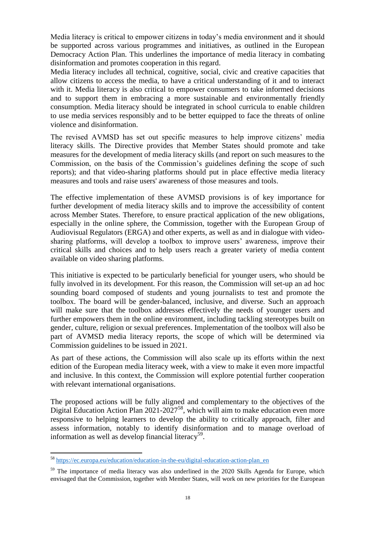Media literacy is critical to empower citizens in today's media environment and it should be supported across various programmes and initiatives, as outlined in the European Democracy Action Plan. This underlines the importance of media literacy in combating disinformation and promotes cooperation in this regard.

Media literacy includes all technical, cognitive, social, civic and creative capacities that allow citizens to access the media, to have a critical understanding of it and to interact with it. Media literacy is also critical to empower consumers to take informed decisions and to support them in embracing a more sustainable and environmentally friendly consumption. Media literacy should be integrated in school curricula to enable children to use media services responsibly and to be better equipped to face the threats of online violence and disinformation.

The revised AVMSD has set out specific measures to help improve citizens' media literacy skills. The Directive provides that Member States should promote and take measures for the development of media literacy skills (and report on such measures to the Commission, on the basis of the Commission's guidelines defining the scope of such reports); and that video-sharing platforms should put in place effective media literacy measures and tools and raise users' awareness of those measures and tools.

The effective implementation of these AVMSD provisions is of key importance for further development of media literacy skills and to improve the accessibility of content across Member States. Therefore, to ensure practical application of the new obligations, especially in the online sphere, the Commission, together with the European Group of Audiovisual Regulators (ERGA) and other experts, as well as and in dialogue with videosharing platforms, will develop a toolbox to improve users' awareness, improve their critical skills and choices and to help users reach a greater variety of media content available on video sharing platforms.

This initiative is expected to be particularly beneficial for younger users, who should be fully involved in its development. For this reason, the Commission will set-up an ad hoc sounding board composed of students and young journalists to test and promote the toolbox. The board will be gender-balanced, inclusive, and diverse. Such an approach will make sure that the toolbox addresses effectively the needs of younger users and further empowers them in the online environment, including tackling stereotypes built on gender, culture, religion or sexual preferences. Implementation of the toolbox will also be part of AVMSD media literacy reports, the scope of which will be determined via Commission guidelines to be issued in 2021.

As part of these actions, the Commission will also scale up its efforts within the next edition of the European media literacy week, with a view to make it even more impactful and inclusive. In this context, the Commission will explore potential further cooperation with relevant international organisations.

The proposed actions will be fully aligned and complementary to the objectives of the Digital Education Action Plan  $2021-2027^{58}$ , which will aim to make education even more responsive to helping learners to develop the ability to critically approach, filter and assess information, notably to identify disinformation and to manage overload of information as well as develop financial literacy<sup>59</sup>.

<sup>&</sup>lt;sup>58</sup> [https://ec.europa.eu/education/education-in-the-eu/digital-education-action-plan\\_en](https://ec.europa.eu/education/education-in-the-eu/digital-education-action-plan_en)

<sup>&</sup>lt;sup>59</sup> The importance of media literacy was also underlined in the 2020 Skills Agenda for Europe, which envisaged that the Commission, together with Member States, will work on new priorities for the European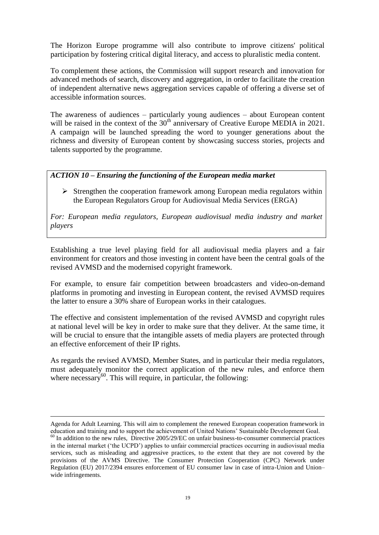The Horizon Europe programme will also contribute to improve citizens' political participation by fostering critical digital literacy, and access to pluralistic media content.

To complement these actions, the Commission will support research and innovation for advanced methods of search, discovery and aggregation, in order to facilitate the creation of independent alternative news aggregation services capable of offering a diverse set of accessible information sources.

The awareness of audiences – particularly young audiences – about European content will be raised in the context of the  $30<sup>th</sup>$  anniversary of Creative Europe MEDIA in 2021. A campaign will be launched spreading the word to younger generations about the richness and diversity of European content by showcasing success stories, projects and talents supported by the programme.

#### *ACTION 10 – Ensuring the functioning of the European media market*

 $\triangleright$  Strengthen the cooperation framework among European media regulators within the European Regulators Group for Audiovisual Media Services (ERGA)

*For: European media regulators, European audiovisual media industry and market players*

Establishing a true level playing field for all audiovisual media players and a fair environment for creators and those investing in content have been the central goals of the revised AVMSD and the modernised copyright framework.

For example, to ensure fair competition between broadcasters and video-on-demand platforms in promoting and investing in European content, the revised AVMSD requires the latter to ensure a 30% share of European works in their catalogues.

The effective and consistent implementation of the revised AVMSD and copyright rules at national level will be key in order to make sure that they deliver. At the same time, it will be crucial to ensure that the intangible assets of media players are protected through an effective enforcement of their IP rights.

As regards the revised AVMSD, Member States, and in particular their media regulators, must adequately monitor the correct application of the new rules, and enforce them where necessary $60$ . This will require, in particular, the following:

Agenda for Adult Learning. This will aim to complement the renewed European cooperation framework in education and training and to support the achievement of United Nations' Sustainable Development Goal.

<sup>&</sup>lt;sup>60</sup> In addition to the new rules, Directive 2005/29/EC on unfair business-to-consumer commercial practices in the internal market ('the UCPD') applies to unfair commercial practices occurring in audiovisual media services, such as misleading and aggressive practices, to the extent that they are not covered by the provisions of the AVMS Directive. The Consumer Protection Cooperation (CPC) Network under Regulation (EU) 2017/2394 ensures enforcement of EU consumer law in case of intra-Union and Union– wide infringements.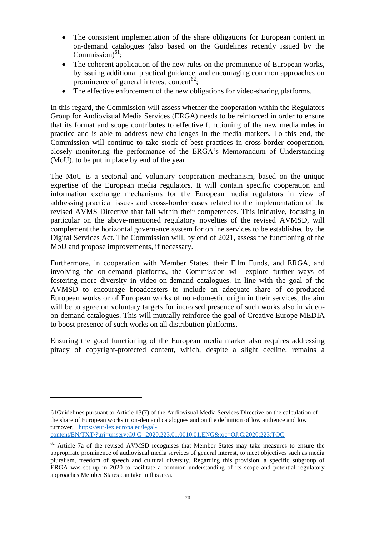- The consistent implementation of the share obligations for European content in on-demand catalogues (also based on the Guidelines recently issued by the Commission) $^{61}$ ;
- The coherent application of the new rules on the prominence of European works, by issuing additional practical guidance, and encouraging common approaches on prominence of general interest content<sup>62</sup>;
- The effective enforcement of the new obligations for video-sharing platforms.

In this regard, the Commission will assess whether the cooperation within the Regulators Group for Audiovisual Media Services (ERGA) needs to be reinforced in order to ensure that its format and scope contributes to effective functioning of the new media rules in practice and is able to address new challenges in the media markets. To this end, the Commission will continue to take stock of best practices in cross-border cooperation, closely monitoring the performance of the ERGA's Memorandum of Understanding (MoU), to be put in place by end of the year.

The MoU is a sectorial and voluntary cooperation mechanism, based on the unique expertise of the European media regulators. It will contain specific cooperation and information exchange mechanisms for the European media regulators in view of addressing practical issues and cross-border cases related to the implementation of the revised AVMS Directive that fall within their competences. This initiative, focusing in particular on the above-mentioned regulatory novelties of the revised AVMSD, will complement the horizontal governance system for online services to be established by the Digital Services Act. The Commission will, by end of 2021, assess the functioning of the MoU and propose improvements, if necessary.

Furthermore, in cooperation with Member States, their Film Funds, and ERGA, and involving the on-demand platforms, the Commission will explore further ways of fostering more diversity in video-on-demand catalogues. In line with the goal of the AVMSD to encourage broadcasters to include an adequate share of co-produced European works or of European works of non-domestic origin in their services, the aim will be to agree on voluntary targets for increased presence of such works also in videoon-demand catalogues. This will mutually reinforce the goal of Creative Europe MEDIA to boost presence of such works on all distribution platforms.

Ensuring the good functioning of the European media market also requires addressing piracy of copyright-protected content, which, despite a slight decline, remains a

<sup>61</sup>Guidelines pursuant to Article 13(7) of the Audiovisual Media Services Directive on the calculation of the share of European works in on-demand catalogues and on the definition of low audience and low turnover; [https://eur-lex.europa.eu/legal](https://eur-lex.europa.eu/legal-content/EN/TXT/?uri=uriserv:OJ.C_.2020.223.01.0010.01.ENG&toc=OJ:C:2020:223:TOC)[content/EN/TXT/?uri=uriserv:OJ.C\\_.2020.223.01.0010.01.ENG&toc=OJ:C:2020:223:TOC](https://eur-lex.europa.eu/legal-content/EN/TXT/?uri=uriserv:OJ.C_.2020.223.01.0010.01.ENG&toc=OJ:C:2020:223:TOC)

 $62$  Article 7a of the revised AVMSD recognises that Member States may take measures to ensure the appropriate prominence of audiovisual media services of general interest, to meet objectives such as media pluralism, freedom of speech and cultural diversity. Regarding this provision, a specific subgroup of ERGA was set up in 2020 to facilitate a common understanding of its scope and potential regulatory approaches Member States can take in this area.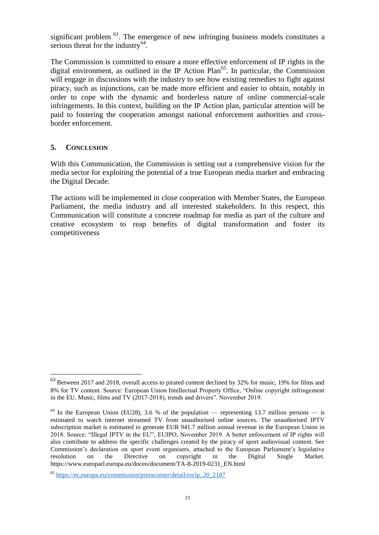significant problem  $<sup>63</sup>$ . The emergence of new infringing business models constitutes a</sup> serious threat for the industry $^{64}$ .

The Commission is committed to ensure a more effective enforcement of IP rights in the digital environment, as outlined in the IP Action  $Plan^{65}$ . In particular, the Commission will engage in discussions with the industry to see how existing remedies to fight against piracy, such as injunctions, can be made more efficient and easier to obtain, notably in order to cope with the dynamic and borderless nature of online commercial-scale infringements. In this context, building on the IP Action plan, particular attention will be paid to fostering the cooperation amongst national enforcement authorities and crossborder enforcement.

#### **5. CONCLUSION**

 $\overline{a}$ 

With this Communication, the Commission is setting out a comprehensive vision for the media sector for exploiting the potential of a true European media market and embracing the Digital Decade.

The actions will be implemented in close cooperation with Member States, the European Parliament, the media industry and all interested stakeholders. In this respect, this Communication will constitute a concrete roadmap for media as part of the culture and creative ecosystem to reap benefits of digital transformation and foster its competitiveness

 $63$  Between 2017 and 2018, overall access to pirated content declined by 32% for music, 19% for films and 8% for TV content. Source: European Union Intellectual Property Office, "Online copyright infringement in the EU. Music, films and TV (2017-2018), trends and drivers". November 2019.

 $64$  In the European Union (EU28), 3.6 % of the population — representing 13.7 million persons — is estimated to watch internet streamed TV from unauthorised online sources. The unauthorised IPTV subscription market is estimated to generate EUR 941.7 million annual revenue in the European Union in 2018. Source: "Illegal IPTV in the EU", EUIPO, November 2019. A better enforcement of IP rights will also contribute to address the specific challenges created by the piracy of sport audiovisual content. See Commission's declaration on sport event organisers, attached to the European Parliament's legislative resolution on the Directive on copyright in the Digital Single Market. https://www.europarl.europa.eu/doceo/document/TA-8-2019-0231\_EN.html

<sup>65</sup> [https://ec.europa.eu/commission/presscorner/detail/en/ip\\_20\\_2187](https://ec.europa.eu/commission/presscorner/detail/en/ip_20_2187)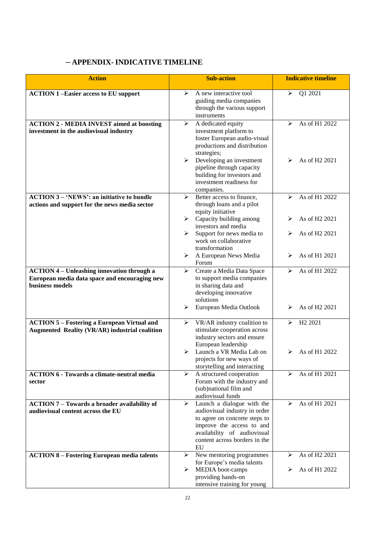# **– APPENDIX- INDICATIVE TIMELINE**

| <b>Action</b>                                                                                               | <b>Sub-action</b>                                                                                                                                                                                            | <b>Indicative timeline</b>               |  |
|-------------------------------------------------------------------------------------------------------------|--------------------------------------------------------------------------------------------------------------------------------------------------------------------------------------------------------------|------------------------------------------|--|
| <b>ACTION 1-Easier access to EU support</b>                                                                 | A new interactive tool<br>⋗<br>guiding media companies<br>through the various support<br>instruments                                                                                                         | Q1 2021<br>$\blacktriangleright$         |  |
| <b>ACTION 2 - MEDIA INVEST aimed at boosting</b><br>investment in the audiovisual industry                  | ➤<br>A dedicated equity<br>investment platform to<br>foster European audio-visual<br>productions and distribution<br>strategies;                                                                             | As of H1 2022<br>⋗                       |  |
|                                                                                                             | Developing an investment<br>≻<br>pipeline through capacity<br>building for investors and<br>investment readiness for<br>companies.                                                                           | As of H <sub>2</sub> 2021<br>⋗           |  |
| <b>ACTION 3 – 'NEWS': an initiative to bundle</b><br>actions and support for the news media sector          | Better access to finance,<br>⋗<br>through loans and a pilot<br>equity initiative                                                                                                                             | As of H1 2022<br>⋗                       |  |
|                                                                                                             | $\triangleright$ Capacity building among<br>investors and media<br>Support for news media to<br>➤                                                                                                            | As of H2 2021<br>⋗<br>As of H2 2021<br>⋗ |  |
|                                                                                                             | work on collaborative<br>transformation<br>A European News Media<br>➤                                                                                                                                        | As of H1 2021<br>⋗                       |  |
| <b>ACTION 4 - Unleashing innovation through a</b>                                                           | Forum<br>Create a Media Data Space<br>➤                                                                                                                                                                      | As of H1 2022<br>⋗                       |  |
| European media data space and encouraging new<br>business models                                            | to support media companies<br>in sharing data and<br>developing innovative<br>solutions                                                                                                                      |                                          |  |
|                                                                                                             | European Media Outlook<br>➤                                                                                                                                                                                  | As of H <sub>2</sub> 2021<br>⋗           |  |
| <b>ACTION 5 - Fostering a European Virtual and</b><br><b>Augmented Reality (VR/AR) industrial coalition</b> | VR/AR industry coalition to<br>$\blacktriangleright$<br>stimulate cooperation across<br>industry sectors and ensure<br>European leadership                                                                   | H <sub>2</sub> 2021<br>⋗                 |  |
|                                                                                                             | Launch a VR Media Lab on<br>➤<br>projects for new ways of<br>storytelling and interacting                                                                                                                    | As of H1 2022<br>⋗                       |  |
| <b>ACTION 6 - Towards a climate-neutral media</b><br>sector                                                 | A structured cooperation<br>➤<br>Forum with the industry and<br>(sub)national film and<br>audiovisual funds                                                                                                  | As of H1 2021<br>⋗                       |  |
| <b>ACTION 7 - Towards a broader availability of</b><br>audiovisual content across the EU                    | Launch a dialogue with the<br>➤<br>audiovisual industry in order<br>to agree on concrete steps to<br>improve the access to and<br>availability of audiovisual<br>content across borders in the<br>${\rm EU}$ | As of H1 2021<br>⋗                       |  |
| <b>ACTION 8 - Fostering European media talents</b>                                                          | ➤<br>New mentoring programmes<br>for Europe's media talents                                                                                                                                                  | As of H2 2021<br>⋗                       |  |
|                                                                                                             | MEDIA boot-camps<br>➤<br>providing hands-on<br>intensive training for young                                                                                                                                  | As of H1 2022<br>⋗                       |  |